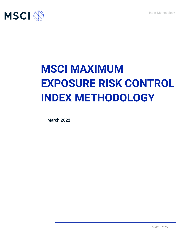Index Methodology



# **MSCI MAXIMUM EXPOSURE RISK CONTROL INDEX METHODOLOGY**

**March 2022**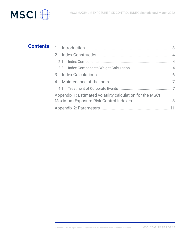

# 1 Introduction ............................................................................ 3 2 Index Construction ................................................................. 4 2.1 Index Components..............................................................................4 2.2 Index Components Weight Calculation.............................................4 3 Index Calculations.................................................................. 6 4 Maintenance of the Index ...................................................... 7 4.1 Treatment of Corporate Events .........................................................7 Appendix 1: Estimated volatility calculation for the MSCI Maximum Exposure Risk Control Indexes................................... 8 Appendix 2: Parameters .............................................................11 **Contents**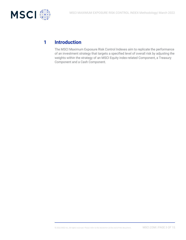

### **1 Introduction**

The MSCI Maximum Exposure Risk Control Indexes aim to replicate the performance of an investment strategy that targets a specified level of overall risk by adjusting the weights within the strategy of an MSCI Equity index-related Component, a Treasury Component and a Cash Component.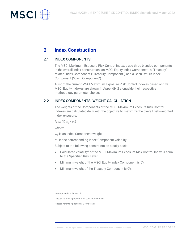

# **2 Index Construction**

#### 2.1 INDEX COMPONENTS

The MSCI Maximum Exposure Risk Control Indexes use three blended components in the overall index construction: an MSCI Equity Index Component, a "Treasury" related Index Component ("Treasury Component") and a Cash-Return Index Component ("Cash Component").

A list of the current MSCI Maximum Exposure Risk Control Indexes based on five MSCI Equity Indexes are shown in Appendix 2 alongside their respective methodology parameter choices.

#### 2.2 INDEX COMPONENTS: WEIGHT CALCULATION

The weights of the Components of the MSCI Maximum Exposure Risk Control Indexes are calculated daily with the objective to maximize the overall risk-weighted index exposure:

Max  $(\sum w_i * \sigma_i)$ 

*where:*

 $\mathrm{w}_i$  is an Index Component weight

 $\sigma_i$  is the corresponding Index Component volatility<sup>1</sup>

Subject to the following constraints on a daily basis:

- Calculated volatility<sup>2</sup> of the MSCI Maximum Exposure Risk Control Index is equal to the Specified Risk Level<sup>3</sup>
- Minimum weight of the MSCI Equity index Component is 0%.
- Minimum weight of the Treasury Component is 0%.

<sup>&</sup>lt;sup>1</sup> See Appendix 1 for details.

<sup>2</sup> Please refer to Appendix 1 for calculation details.

<sup>&</sup>lt;sup>3</sup> Please refer to Appendixes 2 for details.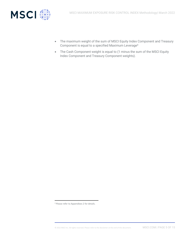

- The maximum weight of the sum of MSCI Equity Index Component and Treasury Component is equal to a specified Maximum Leverage<sup>4</sup>
- The Cash Component weight is equal to (1 minus the sum of the MSCI Equity Index Component and Treasury Component weights).

<sup>4</sup> Please refer to Appendixes 2 for details.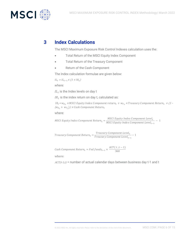

## **3 Index Calculations**

The MSCI Maximum Exposure Risk Control Indexes calculation uses the:

- Total Return of the MSCI Equity Index Component
- Total Return of the Treasury Component
- Return of the Cash Component

The Index calculation formulae are given below:

 $IL_t = IL_{t-1} \times (1 + IR_t)$ 

*where:*

 $lL_t$  is the Index levels on day t

 $IR_t$  is the index return on day t, calculated as:

IR $_{t}$ = $w_{E\,t}$  × MSCI Equity Index Component return $_{t}$  +  $w_{T\,t}$  ×Treasury Component Return $_{t}$  + (1 –  $(w_{E_t} + w_{T_t})$ )  $\times$  Cash Component Return<sub>t</sub>

where:

MSCI Equity Index Component Return<sub>t</sub> =  $\frac{MSCI}{MSCI}$  Equity Index Component Level<sub>t</sub>  $\frac{1}{MSCI}$  Equity Index Component Level<sub>t-1</sub> – 1

Treasury Component Return<sub>t</sub> =  $\frac{Treasury\ Component\ Level_t}{ Treasum\ Comment\ Level_t}$  $\frac{1}{2}$  − 1  $\frac{1}{2}$   $\frac{1}{2}$   $\frac{1}{2}$   $\frac{1}{2}$   $\frac{1}{2}$   $\frac{1}{2}$   $\frac{1}{2}$   $\frac{1}{2}$   $\frac{1}{2}$   $\frac{1}{2}$   $\frac{1}{2}$   $\frac{1}{2}$   $\frac{1}{2}$   $\frac{1}{2}$   $\frac{1}{2}$   $\frac{1}{2}$   $\frac{1}{2}$   $\frac{1}{2}$   $\frac{1}{2}$   $\frac{1}{2}$   $\frac{1}{2$ 

Cash Component Return<sub>t</sub> = Fed funds<sub>t-1</sub>  $\times \frac{ACT(t, t-1)}{360}$ 360

where:

 $ACT(t-1,t)$  = number of actual calendar days between business day t-1 and t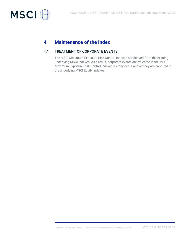

# **4 Maintenance of the Index**

#### 4.1 TREATMENT OF CORPORATE EVENTS

The MSCI Maximum Exposure Risk Control Indexes are derived from the existing underlying MSCI Indexes. As a result, corporate events are reflected in the MSCI Maximum Exposure Risk Control Indexes as they occur and as they are captured in the underlying MSCI Equity Indexes.

© 2022 MSCI Inc. All rights reserved. Please refer to the disclaimer at the end of this document. MSCI.COM | PAGE 7 OF 15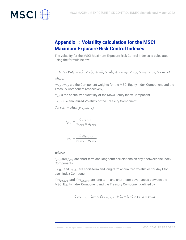

# **Appendix 1: Volatility calculation for the MSCI Maximum Exposure Risk Control Indexes**

The volatility for the MSCI Maximum Exposure Risk Control Indexes is calculated using the formula below:

*Index Vol*<sub>t</sub><sup>2</sup> =  $w_{E,t}^2 \times \sigma_{E,t}^2 + w_{T,t}^2 \times \sigma_{T,t}^2 + 2 * w_{E,t} \times \sigma_{E,t} \times w_{T,t} \times \sigma_{T,t} \times \text{Correl}_t$ *where:*

 $w_{E,t}$  ,  $w_{T,t}$  are the Component weights for the MSCI Equity Index Component and the Treasury Component respectively,

 $\sigma_{E,t}$  is the annualized Volatility of the MSCI Equity Index Component

 $\sigma_{T,t}$  is the annualized Volatility of the Treasury Component

$$
Correl_t = Max(\rho_{LT,t}, \rho_{ST,t})
$$

$$
\rho_{LT,t} = \frac{Cov_{ET,LT,t}}{\sigma_{E,LT,t} \times \sigma_{T,LT,t}}
$$

$$
\rho_{ST,t} = \frac{Cov_{ET,ST,t}}{\sigma_{E,ST,t} \times \sigma_{T,ST,t}}
$$

where:

 $\rho_{LT,t}$  and  $\rho_{ST,t}$  are short-term and long-term correlations on day t between the Index **Components** 

 $\sigma_{E,ST,t}$  and  $\sigma_{T,LT,t}$  are short-term and long-term annualized volatilities for day t for each Index Component

 $Cov_{ET,LT,t}$  and  $Cov_{ET,ST,t}$  are long-term and short-term covariances between the MSCI Equity Index Component and the Treasury Component defined by

$$
Cov_{ET,LT,t} = \lambda_{LT} \times Cov_{ET,LT,t-1} + (1 - \lambda_{LT}) \times r_{E,t-i} \times r_{T,t-i}
$$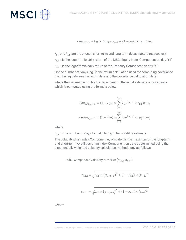

$$
Cov_{ET,ST,t} = \lambda_{ST} \times Cov_{ET,ST,t-1} + (1 - \lambda_{ST}) \times r_{E,t} \times r_{T,t}
$$

 $\lambda_{ST}$  and  $\lambda_{LT}$  are the chosen short term and long-term decay factors respectively  $\rm r_{E,t-i}$  is the logarithmic daily return of the MSCI Equity Index Component on day "t-i"  $\rm r_{T,t-i}$  is the logarithmic daily return of the Treasury Component on day "t-i" i is the number of "days lag" in the return calculation used for computing covariance (i.e., the lag between the return date and the covariance calculation date)

where the covariance on day t is dependent on the initial estimate of covariance which is computed using the formula below

$$
\begin{aligned} Cov_{ST, t_{ini}+1} &= (1 - \lambda_{ST}) \times \sum_{j=1}^{t_{ini}} \lambda_{ST}^{t_{ini} - j} \times r_{E, j} \times r_{T, j} \\ Cov_{LT, t_{ini}+1} &= (1 - \lambda_{LT}) \times \sum_{j=1}^{t_{ini}} \lambda_{LT}^{t_{ini} - j} \times r_{E, j} \times r_{T, j} \end{aligned}
$$

where

 $t_{\text{ini}}$  is the number of days for calculating initial volatility estimate.

The volatility of an Index Component  $\sigma_t$  on date t is the maximum of the long-term and short-term volatilities of an Index Component on date t determined using the exponentially weighted volatility calculation methodology as follows:

Index Component Volatility  $\sigma_{\rm t}$  = Max ( $\sigma_{\rm ST, t}$ ,  $\sigma_{\rm LT, t}$ )

$$
\sigma_{ST,t} = \sqrt{\lambda_{ST} \times (\sigma_{ST,t-1})^2 + (1 - \lambda_{ST}) \times (r_{t-1})^2}
$$

$$
\sigma_{LT,t} = \sqrt{\lambda_{LT} \times (\sigma_{LT,t-1})^2 + (1 - \lambda_{LT}) \times (r_{t-1})^2}
$$

*where:*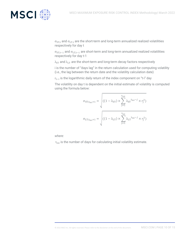

 $\sigma_{ST,t}$  and  $\sigma_{LT,t}$  are the short-term and long-term annualized realized volatilities respectively for day t

 $\sigma_{ST,t-1}$  and  $\sigma_{LT,t-1}$  are short-term and long-term annualized realized volatilities respectively for day t-1

 $\lambda_{ST}$  and  $\lambda_{LT}$  are the short-term and long-term decay factors respectively

i is the number of "days lag" in the return calculation used for computing volatility (i.e., the lag between the return date and the volatility calculation date)

 $r_{t-i}$  is the logarithmic daily return of the index component on "t-i" day

The volatility on day t is dependent on the initial estimate of volatility is computed using the formula below:

$$
\sigma_{ST, t_{\text{ini}}+1} = \sqrt{((1 - \lambda_{ST}) \times \sum_{j=1}^{t_{\text{ini}}} \lambda_{ST}^{t_{\text{ini}} - j} \times r_j^2)}
$$

$$
\sigma_{LT, t_{\text{ini}}+1} = \sqrt{((1 - \lambda_{LT}) \times \sum_{j=1}^{t_{\text{ini}}} \lambda_{LT}^{t_{\text{ini}} - j} \times r_j^2)}
$$

*where:*

 $t_{\text{ini}}$  is the number of days for calculating initial volatility estimate.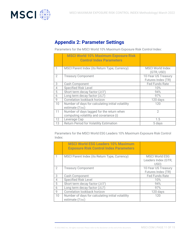

### **Appendix 2: Parameter Settings**

Parameters for the MSCI World 10% Maximum Exposure Risk Control Index:

|                | <b>MSCI World 10% Maximum Exposure Risk</b><br><b>Control Index Parameters</b> |                                           |
|----------------|--------------------------------------------------------------------------------|-------------------------------------------|
|                | MSCI Parent Index (its Return Type, Currency)                                  | <b>MSCI World Index</b><br>(GTR, USD)     |
| $\overline{2}$ | <b>Treasury Component</b>                                                      | 10-Year US Treasury<br>Futures Index (TR) |
| 3              | Cash Component                                                                 | <b>Fed Funds Rate</b>                     |
| 4              | <b>Specified Risk Level</b>                                                    | 10%                                       |
| 5              | Short term decay factor $(\lambda ST)$                                         | 94%                                       |
| 6              | Long term decay factor $(\lambda LT)$                                          | 97%                                       |
| 9              | Correlation lookback horizon                                                   | 120 days                                  |
| 10             | Number of days for calculating initial volatility<br>estimate (Tini)           | 120                                       |
| 11             | Number of days lagged for the return when                                      | $\mathcal{D}$                             |
|                | computing volatility and covariance (i)                                        |                                           |
| 12             | Leverage Cap                                                                   | 1.5                                       |
| 13             | <b>Return Period for Volatility Estimation</b>                                 | 5 days                                    |

Parameters for the MSCI World ESG Leaders 10% Maximum Exposure Risk Control Index:

|                | <b>MSCI World ESG Leaders 10% Maximum</b><br><b>Exposure Risk Control Index Parameters</b> |                                                      |
|----------------|--------------------------------------------------------------------------------------------|------------------------------------------------------|
|                | MSCI Parent Index (its Return Type, Currency)                                              | <b>MSCI World ESG</b><br>Leaders Index (GTR,<br>USD) |
| $\mathcal{P}$  | <b>Treasury Component</b>                                                                  | 10-Year US Treasury<br>Futures Index (TR)            |
| 3              | Cash Component                                                                             | <b>Fed Funds Rate</b>                                |
| $\overline{4}$ | <b>Specified Risk Level</b>                                                                | 10%                                                  |
| 5              | Short term decay factor $(\lambda ST)$                                                     | 94%                                                  |
| 6              | Long term decay factor $(\lambda LT)$                                                      | 97%                                                  |
| 9              | Correlation lookback horizon                                                               | 120 days                                             |
| 10             | Number of days for calculating initial volatility<br>estimate (Tini)                       | 120                                                  |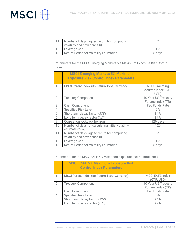

|    | Number of days lagged return for computing<br>volatility and covariance (i) |        |
|----|-----------------------------------------------------------------------------|--------|
| 12 | Leverage Cap                                                                |        |
| 13 | Return Period for Volatility Estimation                                     | 5 days |

Parameters for the MSCI Emerging Markets 5% Maximum Exposure Risk Control Index

|                | <b>MSCI Emerging Markets 5% Maximum</b><br><b>Exposure Risk Control Index Parameters</b> |                                                     |
|----------------|------------------------------------------------------------------------------------------|-----------------------------------------------------|
| 1              | MSCI Parent Index (its Return Type, Currency)                                            | <b>MSCI Emerging</b><br>Markets Index (GTR,<br>USD) |
| $\overline{2}$ | <b>Treasury Component</b>                                                                | 10-Year US Treasury<br>Futures Index (TR)           |
| 3              | Cash Component                                                                           | <b>Fed Funds Rate</b>                               |
| 4              | <b>Specified Risk Level</b>                                                              | 5%                                                  |
| 5              | Short term decay factor $(\lambda ST)$                                                   | 94%                                                 |
| 6              | Long term decay factor $(\lambda LT)$                                                    | 97%                                                 |
| 9              | Correlation lookback horizon                                                             | 120 days                                            |
| 10             | Number of days for calculating initial volatility<br>estimate (Tini)                     | 120                                                 |
| 11             | Number of days lagged return for computing<br>volatility and covariance (i)              | $\mathcal{P}$                                       |
| 12             | Leverage Cap                                                                             | 1.5                                                 |
| 13             | <b>Return Period for Volatility Estimation</b>                                           | 5 days                                              |

Parameters for the MSCI EAFE 5% Maximum Exposure Risk Control Index

|   | <b>MSCI EAFE 5% Maximum Exposure Risk</b><br><b>Control Index Parameters</b> |                                           |
|---|------------------------------------------------------------------------------|-------------------------------------------|
|   | MSCI Parent Index (its Return Type, Currency)                                | <b>MSCI EAFE Index</b><br>(GTR, USD)      |
| 2 | <b>Treasury Component</b>                                                    | 10-Year US Treasury<br>Futures Index (TR) |
| 3 | Cash Component                                                               | <b>Fed Funds Rate</b>                     |
|   | <b>Specified Risk Level</b>                                                  | 5%                                        |
| 5 | Short term decay factor $(\lambda ST)$                                       | 94%                                       |
| 6 | Long term decay factor $(\lambda LT)$                                        | 97%                                       |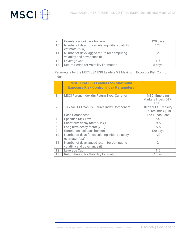

| 9  | Correlation lookback horizon                      | 120 days |
|----|---------------------------------------------------|----------|
| 10 | Number of days for calculating initial volatility | 120      |
|    | estimate (Tini)                                   |          |
|    | Number of days lagged return for computing        |          |
|    | volatility and covariance (i)                     |          |
| 12 | Leverage Cap                                      | 1.5      |
| 13 | <b>Return Period for Volatility Estimation</b>    | 5 davs   |

Parameters for the MSCI USA ESG Leaders 5% Maximum Exposure Risk Control Index

|    | <b>MSCI USA ESG Leaders 5% Maximum</b><br><b>Exposure Risk Control Index Parameters</b> |                                                     |
|----|-----------------------------------------------------------------------------------------|-----------------------------------------------------|
|    | MSCI Parent Index (its Return Type, Currency)                                           | <b>MSCI Emerging</b><br>Markets Index (GTR,<br>USD) |
| 2  | 10-Year US Treasury Futures Index Component                                             | 10-Year US Treasury<br>Futures Index (TR)           |
| 3  | Cash Component                                                                          | <b>Fed Funds Rate</b>                               |
| 4  | <b>Specified Risk Level</b>                                                             | 5%                                                  |
| 5  | Short term decay factor $(\lambda ST)$                                                  | 94%                                                 |
| 6  | Long term decay factor $(\lambda LT)$                                                   | 97%                                                 |
| 9  | Correlation lookback horizon                                                            | 120 days                                            |
| 10 | Number of days for calculating initial volatility<br>estimate (Tini)                    | 120                                                 |
| 11 | Number of days lagged return for computing<br>volatility and covariance (i)             | $\mathfrak{D}$                                      |
| 12 | Leverage Cap                                                                            | 1.5                                                 |
| 13 | <b>Return Period for Volatility Estimation</b>                                          | 1 day                                               |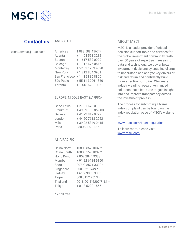

## **Contact us**

#### **AMERICAS**

| clientservice@msci.com |  |  |
|------------------------|--|--|
|                        |  |  |

| Americas      | 1888 588 4567 *   |
|---------------|-------------------|
| Atlanta       | + 1 404 551 3212  |
| <b>Boston</b> | +1 617 532 0920   |
| Chicago       | +13126750545      |
| Monterrey     | +52 81 1253 4020  |
| New York      | +12128043901      |
| San Francisco | +14158368800      |
| São Paulo     | + 55 11 3706 1360 |
| Toronto       | +1 416 628 1007   |

#### EUROPE, MIDDLE EAST & AFRICA

| Cape Town | +27216730100     |
|-----------|------------------|
| Frankfurt | +496913385900    |
| Geneva    | +41 22 817 9777  |
| London    | +44 20 7618 2222 |
| Milan     | +39 02 5849 0415 |
| Paris     | 0800 91 59 17 *  |

#### ASIA PACIFIC

| China North | 10800 852 1032 *      |
|-------------|-----------------------|
| China South | 10800 152 1032 *      |
| Hong Kong   | +852 2844 9333        |
| Mumbai      | +91 22 6784 9160      |
| Seoul       | 00798 8521 3392 *     |
| Singapore   | 800 852 3749 *        |
| Sydney      | + 61 2 9033 9333      |
| Taipei      | 008 0112 7513 *       |
| Thailand    | 0018 0015 6207 7181 * |
| Tokyo       | + 81 3 5290 1555      |

 $* =$  toll free

#### ABOUT MSCI

MSCI is a leader provider of critical decision support tools and services for the global investment community. With over 50 years of expertise in research, data and technology, we power better investment decisions by enabling clients to understand and analyze key drivers of risk and return and confidently build more effective portfolios. We create industry-leading research-enhanced solutions that clients use to gain insight into and improve transparency across the investment process.

The process for submitting a formal index complaint can be found on the index regulation page of MSCI's website at:

#### [www.msci.com/index-regulation](https://www.msci.com/index-regulation)

To learn more, please visit [www.msci.com.](file://///int.msci.com/root/Mumbai/lib/NPDData/Chirag/SF%20ESG%20Blk/meth%20book/Final%20Draft/www.msci.com)